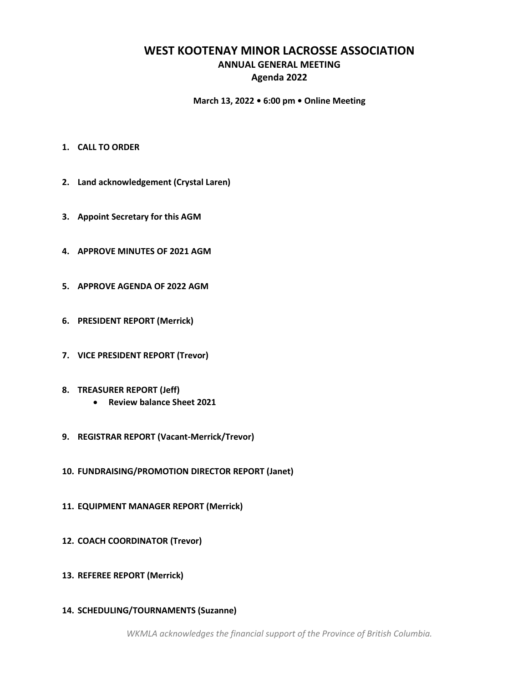# **WEST KOOTENAY MINOR LACROSSE ASSOCIATION ANNUAL GENERAL MEETING Agenda 2022**

## **March 13, 2022 • 6:00 pm • Online Meeting**

- **1. CALL TO ORDER**
- **2. Land acknowledgement (Crystal Laren)**
- **3. Appoint Secretary for this AGM**
- **4. APPROVE MINUTES OF 2021 AGM**
- **5. APPROVE AGENDA OF 2022 AGM**
- **6. PRESIDENT REPORT (Merrick)**
- **7. VICE PRESIDENT REPORT (Trevor)**
- **8. TREASURER REPORT (Jeff)**
	- **Review balance Sheet 2021**
- **9. REGISTRAR REPORT (Vacant-Merrick/Trevor)**
- **10. FUNDRAISING/PROMOTION DIRECTOR REPORT (Janet)**
- **11. EQUIPMENT MANAGER REPORT (Merrick)**
- **12. COACH COORDINATOR (Trevor)**
- **13. REFEREE REPORT (Merrick)**
- **14. SCHEDULING/TOURNAMENTS (Suzanne)**

*WKMLA acknowledges the financial support of the Province of British Columbia.*